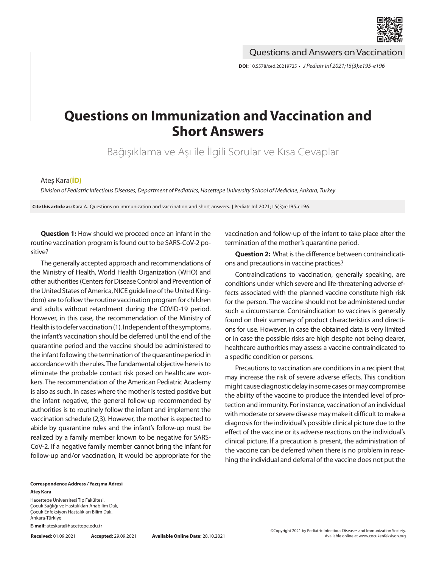

Questions and Answers on Vaccination

**DOI:** 10.5578/ced.20219725 **•** *J Pediatr Inf 2021;15(3):e195-e196*

## **Questions on Immunization and Vaccination and Short Answers**

Bağışıklama ve Aşı ile İlgili Sorular ve Kısa Cevaplar

## Ateş Kara**[\(İD\)](https://orcid.org/0000-0002-1654-3232)**

*Division of Pediatric Infectious Diseases, Department of Pediatrics, Hacettepe University School of Medicine, Ankara, Turkey*

**Cite this article as:** Kara A. Questions on immunization and vaccination and short answers. J Pediatr Inf 2021;15(3):e195-e196.

**Question 1:** How should we proceed once an infant in the routine vaccination program is found out to be SARS-CoV-2 positive?

The generally accepted approach and recommendations of the Ministry of Health, World Health Organization (WHO) and other authorities (Centers for Disease Control and Prevention of the United States of America, NICE guideline of the United Kingdom) are to follow the routine vaccination program for children and adults without retardment during the COVID-19 period. However, in this case, the recommendation of the Ministry of Health is to defer vaccination (1). Independent of the symptoms, the infant's vaccination should be deferred until the end of the quarantine period and the vaccine should be administered to the infant following the termination of the quarantine period in accordance with the rules. The fundamental objective here is to eliminate the probable contact risk posed on healthcare workers. The recommendation of the American Pediatric Academy is also as such. In cases where the mother is tested positive but the infant negative, the general follow-up recommended by authorities is to routinely follow the infant and implement the vaccination schedule (2,3). However, the mother is expected to abide by quarantine rules and the infant's follow-up must be realized by a family member known to be negative for SARS-CoV-2. If a negative family member cannot bring the infant for follow-up and/or vaccination, it would be appropriate for the

vaccination and follow-up of the infant to take place after the termination of the mother's quarantine period.

**Question 2:** What is the difference between contraindications and precautions in vaccine practices?

Contraindications to vaccination, generally speaking, are conditions under which severe and life-threatening adverse effects associated with the planned vaccine constitute high risk for the person. The vaccine should not be administered under such a circumstance. Contraindication to vaccines is generally found on their summary of product characteristics and directions for use. However, in case the obtained data is very limited or in case the possible risks are high despite not being clearer, healthcare authorities may assess a vaccine contraindicated to a specific condition or persons.

Precautions to vaccination are conditions in a recipient that may increase the risk of severe adverse effects. This condition might cause diagnostic delay in some cases or may compromise the ability of the vaccine to produce the intended level of protection and immunity. For instance, vaccination of an individual with moderate or severe disease may make it difficult to make a diagnosis for the individual's possible clinical picture due to the effect of the vaccine or its adverse reactions on the individual's clinical picture. If a precaution is present, the administration of the vaccine can be deferred when there is no problem in reaching the individual and deferral of the vaccine does not put the

## **Correspondence Address** */* **Yazışma Adresi Ateş Kara**

Hacettepe Üniversitesi Tıp Fakültesi, Çocuk Sağlığı ve Hastalıkları Anabilim Dalı, Çocuk Enfeksiyon Hastalıkları Bilim Dalı, Ankara-Türkiye

**E-mail:** ateskara@hacettepe.edu.tr

**Received:** 01.09.2021 **Accepted:** 29.09.2021